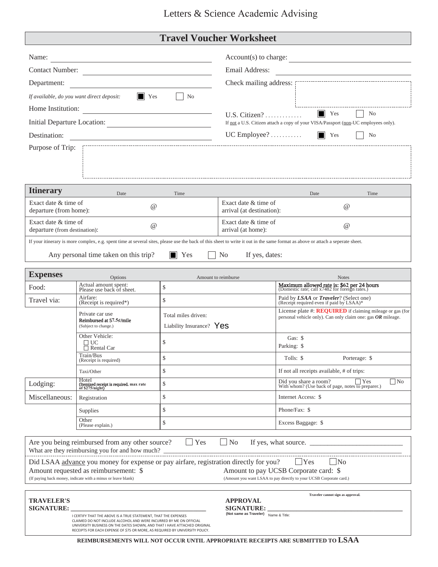## Letters & Science Academic Advising

## **Travel Voucher Worksheet**

| Name:<br><u> 1989 - Johann Barbara, martxa alemaniar a</u>                                                |                                                                                                                                                                                                                                                                                                    |                                                         | Account(s) to charge:                                                                                                                 |                                                                                                                                                                                |  |  |  |  |  |
|-----------------------------------------------------------------------------------------------------------|----------------------------------------------------------------------------------------------------------------------------------------------------------------------------------------------------------------------------------------------------------------------------------------------------|---------------------------------------------------------|---------------------------------------------------------------------------------------------------------------------------------------|--------------------------------------------------------------------------------------------------------------------------------------------------------------------------------|--|--|--|--|--|
| Contact Number:                                                                                           |                                                                                                                                                                                                                                                                                                    |                                                         | Email Address:                                                                                                                        |                                                                                                                                                                                |  |  |  |  |  |
| Department:                                                                                               |                                                                                                                                                                                                                                                                                                    |                                                         |                                                                                                                                       |                                                                                                                                                                                |  |  |  |  |  |
| If available, do you want direct deposit:                                                                 | $\blacksquare$ Yes                                                                                                                                                                                                                                                                                 | N <sub>o</sub>                                          |                                                                                                                                       |                                                                                                                                                                                |  |  |  |  |  |
|                                                                                                           | Home Institution:                                                                                                                                                                                                                                                                                  |                                                         |                                                                                                                                       | $\blacksquare$ Yes<br>No                                                                                                                                                       |  |  |  |  |  |
| Initial Departure Location:<br><u> 1980 - Johann Barbara, martxa alemaniar a</u>                          |                                                                                                                                                                                                                                                                                                    |                                                         | $U.S. \text{ Citizen?} \dots \dots \dots \dots$<br>If not a U.S. Citizen attach a copy of your VISA/Passport (non-UC employees only). |                                                                                                                                                                                |  |  |  |  |  |
| Destination:<br>the control of the control of the control of the control of the control of the control of |                                                                                                                                                                                                                                                                                                    |                                                         | $UC$ Employee?<br>$\vert \vert$ Yes<br>N <sub>0</sub>                                                                                 |                                                                                                                                                                                |  |  |  |  |  |
| Purpose of Trip:                                                                                          |                                                                                                                                                                                                                                                                                                    |                                                         |                                                                                                                                       |                                                                                                                                                                                |  |  |  |  |  |
| <b>Itinerary</b>                                                                                          | Date                                                                                                                                                                                                                                                                                               | Time                                                    |                                                                                                                                       | Date<br>Time                                                                                                                                                                   |  |  |  |  |  |
|                                                                                                           | Exact date & time of<br>$\omega$<br>departure (from home):                                                                                                                                                                                                                                         |                                                         | Exact date & time of<br>arrival (at destination):                                                                                     | $\omega$                                                                                                                                                                       |  |  |  |  |  |
|                                                                                                           | Exact date & time of<br>$\omega$<br>departure (from destination):                                                                                                                                                                                                                                  |                                                         |                                                                                                                                       | Exact date & time of<br>$\omega$                                                                                                                                               |  |  |  |  |  |
|                                                                                                           |                                                                                                                                                                                                                                                                                                    |                                                         |                                                                                                                                       | If your itinerary is more complex, e.g. spent time at several sites, please use the back of this sheet to write it out in the same format as above or attach a seperate sheet. |  |  |  |  |  |
|                                                                                                           | Any personal time taken on this trip?<br>If yes, dates:<br>$\blacksquare$ Yes<br>No.                                                                                                                                                                                                               |                                                         |                                                                                                                                       |                                                                                                                                                                                |  |  |  |  |  |
| <b>Expenses</b>                                                                                           | Options                                                                                                                                                                                                                                                                                            |                                                         | Amount to reimburse                                                                                                                   | <b>Notes</b>                                                                                                                                                                   |  |  |  |  |  |
| Food:                                                                                                     | Actual amount spent:<br>Please use back of sheet.                                                                                                                                                                                                                                                  | \$                                                      |                                                                                                                                       | Maximum allowed rate is: \$62 per 24 hours<br>(Domestic rate; call x7482 for foreign rates.)                                                                                   |  |  |  |  |  |
| Travel via:                                                                                               | Airfare:<br>(Receipt is required*)                                                                                                                                                                                                                                                                 | $\mathsf{\$}$                                           |                                                                                                                                       | Paid by LSAA or Traveler? (Select one)<br>(Receipt required even if paid by LSAA)*                                                                                             |  |  |  |  |  |
|                                                                                                           | Private car use<br>Reimbursed at 57.5¢/mile<br>(Subject to change.)                                                                                                                                                                                                                                | Total miles driven:<br>Liability Insurance? $\gamma$ es |                                                                                                                                       | License plate #: $REQUIRED$ if claiming mileage or gas (for<br>personal vehicle only). Can only claim one: gas $OR$ mileage.                                                   |  |  |  |  |  |
|                                                                                                           | Other Vehicle:<br>∃UC<br>$\Box$ Rental Car                                                                                                                                                                                                                                                         | \$                                                      |                                                                                                                                       | Gas: $$$<br>Parking: \$                                                                                                                                                        |  |  |  |  |  |
|                                                                                                           | Train/Bus<br>(Receipt is required)                                                                                                                                                                                                                                                                 | \$                                                      |                                                                                                                                       | Tolls: \$<br>Porterage: \$                                                                                                                                                     |  |  |  |  |  |
|                                                                                                           | Taxi/Other                                                                                                                                                                                                                                                                                         | \$                                                      | If not all receipts available, # of trips:                                                                                            |                                                                                                                                                                                |  |  |  |  |  |
| Lodging:                                                                                                  | Hotel<br>(Itemized receipt is required, max rate<br>of \$275/night)                                                                                                                                                                                                                                | \$                                                      | $\neg$ No<br>Did you share a room?<br>With whom? (Use back of page, notes to preparer.)                                               |                                                                                                                                                                                |  |  |  |  |  |
| Miscellaneous:                                                                                            | Registration                                                                                                                                                                                                                                                                                       | \$                                                      | Internet Access: \$                                                                                                                   |                                                                                                                                                                                |  |  |  |  |  |
|                                                                                                           | Supplies                                                                                                                                                                                                                                                                                           | \$                                                      |                                                                                                                                       | Phone/Fax: \$                                                                                                                                                                  |  |  |  |  |  |
|                                                                                                           | Other<br>(Please explain.)                                                                                                                                                                                                                                                                         | \$                                                      |                                                                                                                                       | Excess Baggage: \$                                                                                                                                                             |  |  |  |  |  |
|                                                                                                           | Are you being reimbursed from any other source?                                                                                                                                                                                                                                                    | $\Box$ Yes                                              | $\Box$ No                                                                                                                             | If yes, what source.                                                                                                                                                           |  |  |  |  |  |
|                                                                                                           | What are they reimbursing you for and how much?<br>Did LSAA advance you money for expense or pay airfare, registration directly for you?                                                                                                                                                           |                                                         |                                                                                                                                       | $\Box$ Yes                                                                                                                                                                     |  |  |  |  |  |
|                                                                                                           | Amount requested as reimbursement: \$                                                                                                                                                                                                                                                              |                                                         |                                                                                                                                       | lNo<br>Amount to pay UCSB Corporate card: \$                                                                                                                                   |  |  |  |  |  |
|                                                                                                           | (If paying back money, indicate with a minus or leave blank)                                                                                                                                                                                                                                       |                                                         |                                                                                                                                       | (Amount you want LSAA to pay directly to your UCSB Corporate card.)                                                                                                            |  |  |  |  |  |
| <b>TRAVELER'S</b><br><b>SIGNATURE:</b>                                                                    | I CERTIFY THAT THE ABOVE IS A TRUE STATEMENT, THAT THE EXPENSES<br>CLAIMED DO NOT INCLUDE ALCOHOL AND WERE INCURRED BY ME ON OFFICIAL<br>UNIVERSITY BUSINESS ON THE DATES SHOWN, AND THAT I HAVE ATTACHED ORIGINAL<br>RECEIPTS FOR EACH EXPENSE OF \$75 OR MORE, AS REQUIRED BY UNIVERSITY POLICY. |                                                         | <b>APPROVAL</b><br><b>SIGNATURE:</b><br>(Not same as Traveler) Name & Title:                                                          | Traveler cannot sign as approval.                                                                                                                                              |  |  |  |  |  |